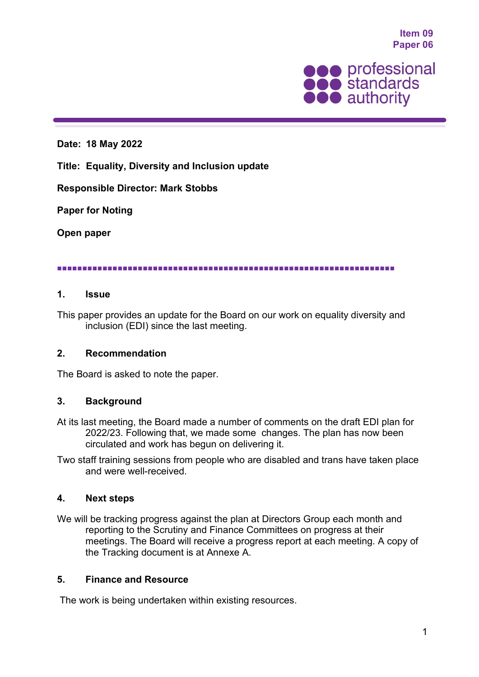**Item 09 Paper 06**



#### **Date: 18 May 2022**

**Title: Equality, Diversity and Inclusion update**

#### **Responsible Director: Mark Stobbs**

#### **Paper for Noting**

**Open paper**

#### 

#### **1. Issue**

This paper provides an update for the Board on our work on equality diversity and inclusion (EDI) since the last meeting.

#### **2. Recommendation**

The Board is asked to note the paper.

#### **3. Background**

At its last meeting, the Board made a number of comments on the draft EDI plan for 2022/23. Following that, we made some changes. The plan has now been circulated and work has begun on delivering it.

Two staff training sessions from people who are disabled and trans have taken place and were well-received.

#### **4. Next steps**

We will be tracking progress against the plan at Directors Group each month and reporting to the Scrutiny and Finance Committees on progress at their meetings. The Board will receive a progress report at each meeting. A copy of the Tracking document is at Annexe A.

#### **5. Finance and Resource**

The work is being undertaken within existing resources.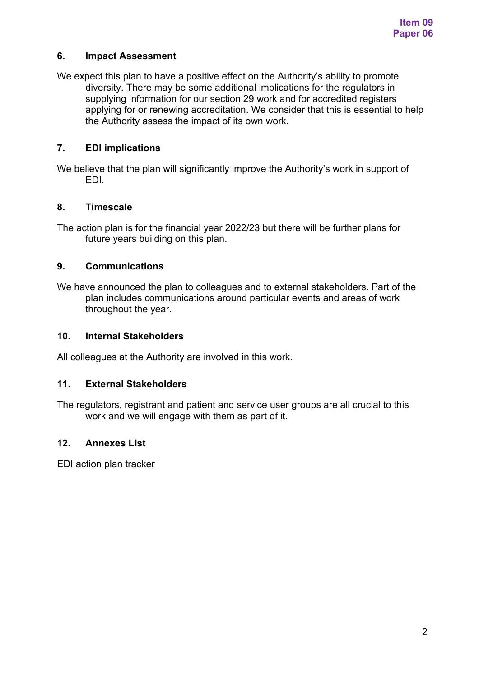### **6. Impact Assessment**

We expect this plan to have a positive effect on the Authority's ability to promote diversity. There may be some additional implications for the regulators in supplying information for our section 29 work and for accredited registers applying for or renewing accreditation. We consider that this is essential to help the Authority assess the impact of its own work.

### **7. EDI implications**

We believe that the plan will significantly improve the Authority's work in support of EDI.

### **8. Timescale**

The action plan is for the financial year 2022/23 but there will be further plans for future years building on this plan.

### **9. Communications**

We have announced the plan to colleagues and to external stakeholders. Part of the plan includes communications around particular events and areas of work throughout the year.

### **10. Internal Stakeholders**

All colleagues at the Authority are involved in this work.

### **11. External Stakeholders**

The regulators, registrant and patient and service user groups are all crucial to this work and we will engage with them as part of it.

### **12. Annexes List**

EDI action plan tracker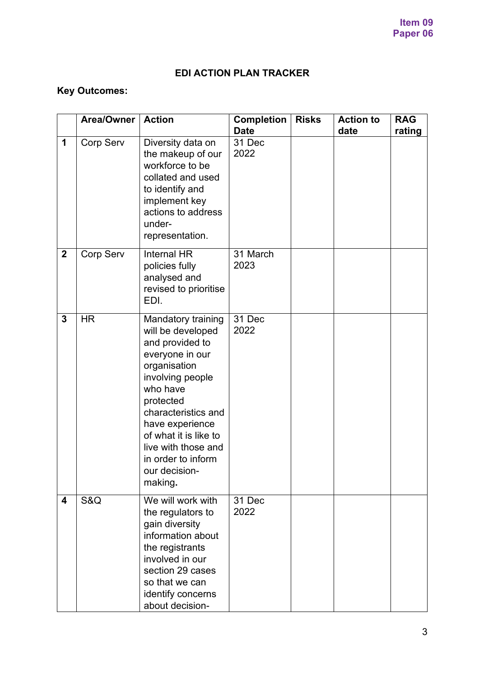## **EDI ACTION PLAN TRACKER**

# **Key Outcomes:**

|                         | <b>Area/Owner</b> | <b>Action</b>                                                                                                                                                                                                                                                                                 | <b>Completion</b><br><b>Date</b> | <b>Risks</b> | <b>Action to</b><br>date | <b>RAG</b><br>rating |
|-------------------------|-------------------|-----------------------------------------------------------------------------------------------------------------------------------------------------------------------------------------------------------------------------------------------------------------------------------------------|----------------------------------|--------------|--------------------------|----------------------|
| 1                       | <b>Corp Serv</b>  | Diversity data on<br>the makeup of our<br>workforce to be<br>collated and used<br>to identify and<br>implement key<br>actions to address<br>under-<br>representation.                                                                                                                         | 31 Dec<br>2022                   |              |                          |                      |
| $\mathbf 2$             | <b>Corp Serv</b>  | Internal HR<br>policies fully<br>analysed and<br>revised to prioritise<br>EDI.                                                                                                                                                                                                                | 31 March<br>2023                 |              |                          |                      |
| 3                       | <b>HR</b>         | <b>Mandatory training</b><br>will be developed<br>and provided to<br>everyone in our<br>organisation<br>involving people<br>who have<br>protected<br>characteristics and<br>have experience<br>of what it is like to<br>live with those and<br>in order to inform<br>our decision-<br>making. | 31 Dec<br>2022                   |              |                          |                      |
| $\overline{\mathbf{4}}$ | S&Q               | We will work with<br>the regulators to<br>gain diversity<br>information about<br>the registrants<br>involved in our<br>section 29 cases<br>so that we can<br>identify concerns<br>about decision-                                                                                             | 31 Dec<br>2022                   |              |                          |                      |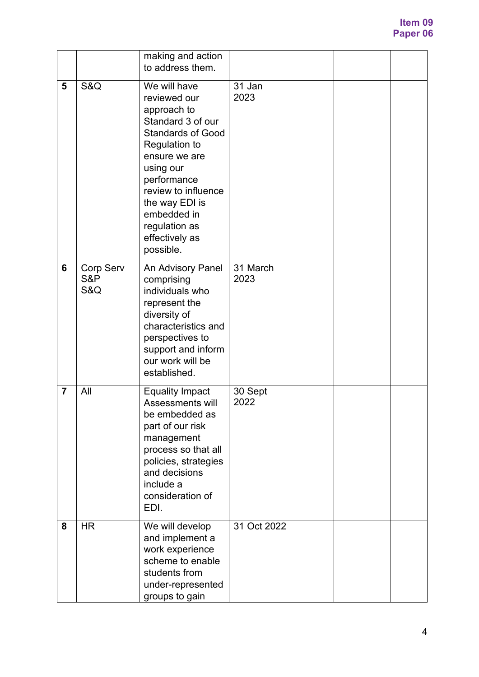|                |                         | making and action<br>to address them.                                                                                                                                                                                                                              |                  |  |  |
|----------------|-------------------------|--------------------------------------------------------------------------------------------------------------------------------------------------------------------------------------------------------------------------------------------------------------------|------------------|--|--|
| 5              | S&Q                     | We will have<br>reviewed our<br>approach to<br>Standard 3 of our<br><b>Standards of Good</b><br>Regulation to<br>ensure we are<br>using our<br>performance<br>review to influence<br>the way EDI is<br>embedded in<br>regulation as<br>effectively as<br>possible. | 31 Jan<br>2023   |  |  |
| 6              | Corp Serv<br>S&P<br>S&Q | An Advisory Panel<br>comprising<br>individuals who<br>represent the<br>diversity of<br>characteristics and<br>perspectives to<br>support and inform<br>our work will be<br>established.                                                                            | 31 March<br>2023 |  |  |
| $\overline{7}$ | All                     | <b>Equality Impact</b><br>Assessments will<br>be embedded as<br>part of our risk<br>management<br>process so that all<br>policies, strategies<br>and decisions<br>include a<br>consideration of<br>EDI.                                                            | 30 Sept<br>2022  |  |  |
| 8              | <b>HR</b>               | We will develop<br>and implement a<br>work experience<br>scheme to enable<br>students from<br>under-represented<br>groups to gain                                                                                                                                  | 31 Oct 2022      |  |  |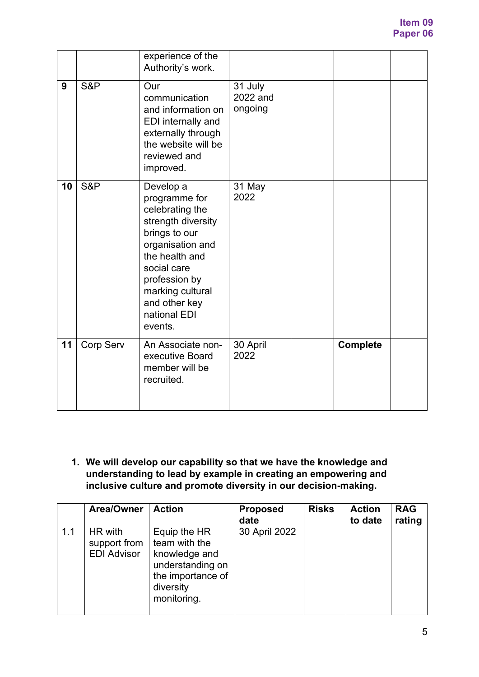|    |                  | experience of the<br>Authority's work.                                                                                                                                                                                     |                                |                 |  |
|----|------------------|----------------------------------------------------------------------------------------------------------------------------------------------------------------------------------------------------------------------------|--------------------------------|-----------------|--|
| 9  | S&P              | Our<br>communication<br>and information on<br><b>EDI</b> internally and<br>externally through<br>the website will be<br>reviewed and<br>improved.                                                                          | 31 July<br>2022 and<br>ongoing |                 |  |
| 10 | S&P              | Develop a<br>programme for<br>celebrating the<br>strength diversity<br>brings to our<br>organisation and<br>the health and<br>social care<br>profession by<br>marking cultural<br>and other key<br>national EDI<br>events. | 31 May<br>2022                 |                 |  |
| 11 | <b>Corp Serv</b> | An Associate non-<br>executive Board<br>member will be<br>recruited.                                                                                                                                                       | 30 April<br>2022               | <b>Complete</b> |  |

**1. We will develop our capability so that we have the knowledge and understanding to lead by example in creating an empowering and inclusive culture and promote diversity in our decision-making.**

|     | Area/Owner                                    | <b>Action</b>                                                                                                       | <b>Proposed</b><br>date | <b>Risks</b> | <b>Action</b><br>to date | <b>RAG</b><br>rating |
|-----|-----------------------------------------------|---------------------------------------------------------------------------------------------------------------------|-------------------------|--------------|--------------------------|----------------------|
| 1.1 | HR with<br>support from<br><b>EDI Advisor</b> | Equip the HR<br>team with the<br>knowledge and<br>understanding on<br>the importance of<br>diversity<br>monitoring. | 30 April 2022           |              |                          |                      |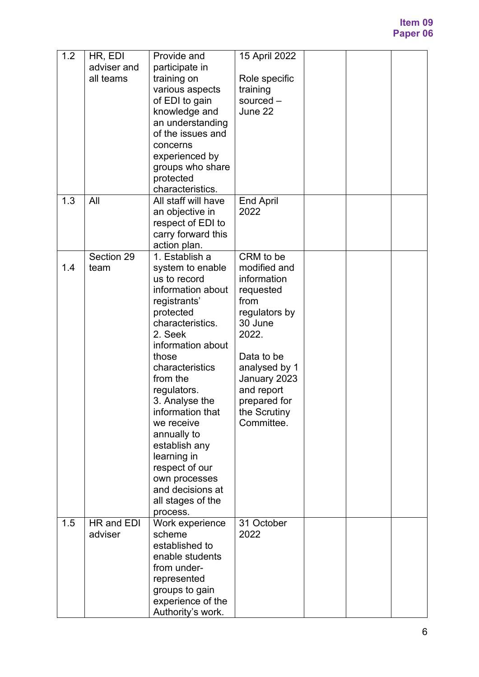| $1.\overline{2}$ | HR, EDI<br>adviser and<br>all teams | Provide and<br>participate in<br>training on<br>various aspects<br>of EDI to gain<br>knowledge and<br>an understanding<br>of the issues and<br>concerns<br>experienced by<br>groups who share<br>protected<br>characteristics.                                                                                                                                                                             | 15 April 2022<br>Role specific<br>training<br>sourced -<br>June 22                                                                                                                                            |  |  |
|------------------|-------------------------------------|------------------------------------------------------------------------------------------------------------------------------------------------------------------------------------------------------------------------------------------------------------------------------------------------------------------------------------------------------------------------------------------------------------|---------------------------------------------------------------------------------------------------------------------------------------------------------------------------------------------------------------|--|--|
| 1.3              | All                                 | All staff will have<br>an objective in<br>respect of EDI to<br>carry forward this<br>action plan.                                                                                                                                                                                                                                                                                                          | <b>End April</b><br>2022                                                                                                                                                                                      |  |  |
| 1.4              | Section 29<br>team                  | 1. Establish a<br>system to enable<br>us to record<br>information about<br>registrants'<br>protected<br>characteristics.<br>2. Seek<br>information about<br>those<br>characteristics<br>from the<br>regulators.<br>3. Analyse the<br>information that<br>we receive<br>annually to<br>establish any<br>learning in<br>respect of our<br>own processes<br>and decisions at<br>all stages of the<br>process. | CRM to be<br>modified and<br>information<br>requested<br>from<br>regulators by<br>30 June<br>2022.<br>Data to be<br>analysed by 1<br>January 2023<br>and report<br>prepared for<br>the Scrutiny<br>Committee. |  |  |
| 1.5              | HR and EDI<br>adviser               | Work experience<br>scheme<br>established to<br>enable students<br>from under-<br>represented<br>groups to gain<br>experience of the<br>Authority's work.                                                                                                                                                                                                                                                   | 31 October<br>2022                                                                                                                                                                                            |  |  |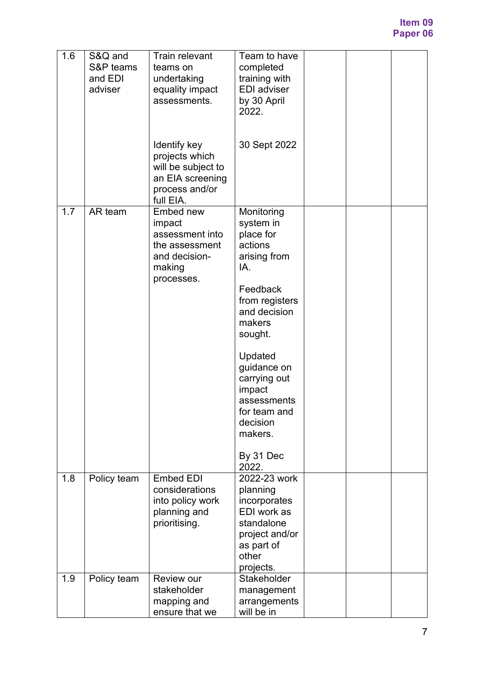### **Item 09 Paper 06**

| 1.6 | S&Q and<br>S&P teams<br>and EDI<br>adviser | <b>Train relevant</b><br>teams on<br>undertaking<br>equality impact<br>assessments.<br>Identify key<br>projects which<br>will be subject to<br>an EIA screening | Team to have<br>completed<br>training with<br><b>EDI</b> adviser<br>by 30 April<br>2022.<br>30 Sept 2022                                                                                                                                                         |  |  |
|-----|--------------------------------------------|-----------------------------------------------------------------------------------------------------------------------------------------------------------------|------------------------------------------------------------------------------------------------------------------------------------------------------------------------------------------------------------------------------------------------------------------|--|--|
|     |                                            | process and/or<br>full EIA.                                                                                                                                     |                                                                                                                                                                                                                                                                  |  |  |
| 1.7 | AR team                                    | Embed new<br>impact<br>assessment into<br>the assessment<br>and decision-<br>making<br>processes.                                                               | Monitoring<br>system in<br>place for<br>actions<br>arising from<br>IA.<br>Feedback<br>from registers<br>and decision<br>makers<br>sought.<br>Updated<br>guidance on<br>carrying out<br>impact<br>assessments<br>for team and<br>decision<br>makers.<br>By 31 Dec |  |  |
| 1.8 | Policy team                                | <b>Embed EDI</b><br>considerations<br>into policy work<br>planning and<br>prioritising.                                                                         | 2022.<br>2022-23 work<br>planning<br>incorporates<br>EDI work as<br>standalone<br>project and/or<br>as part of<br>other<br>projects.                                                                                                                             |  |  |
| 1.9 | Policy team                                | Review our<br>stakeholder<br>mapping and<br>ensure that we                                                                                                      | Stakeholder<br>management<br>arrangements<br>will be in                                                                                                                                                                                                          |  |  |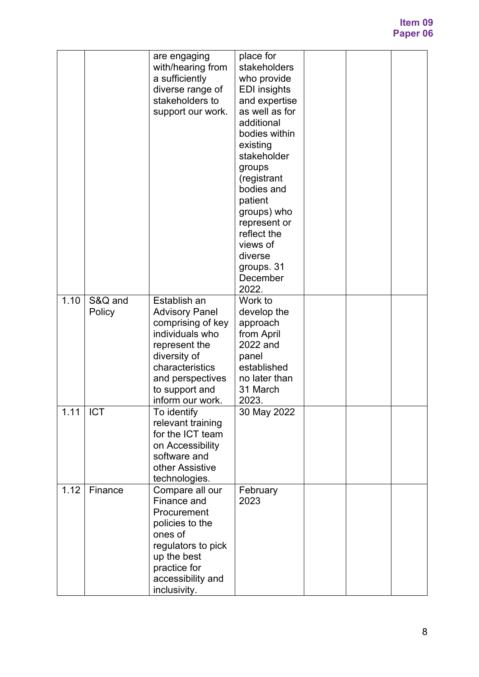|      |                   | are engaging<br>with/hearing from<br>a sufficiently<br>diverse range of<br>stakeholders to<br>support our work.                                                                             | place for<br>stakeholders<br>who provide<br><b>EDI</b> insights<br>and expertise<br>as well as for<br>additional<br>bodies within<br>existing<br>stakeholder<br>groups<br>(registrant<br>bodies and<br>patient<br>groups) who<br>represent or<br>reflect the<br>views of<br>diverse<br>groups. 31<br>December<br>2022. |  |  |
|------|-------------------|---------------------------------------------------------------------------------------------------------------------------------------------------------------------------------------------|------------------------------------------------------------------------------------------------------------------------------------------------------------------------------------------------------------------------------------------------------------------------------------------------------------------------|--|--|
| 1.10 | S&Q and<br>Policy | Establish an<br><b>Advisory Panel</b><br>comprising of key<br>individuals who<br>represent the<br>diversity of<br>characteristics<br>and perspectives<br>to support and<br>inform our work. | Work to<br>develop the<br>approach<br>from April<br>2022 and<br>panel<br>established<br>no later than<br>31 March<br>2023.                                                                                                                                                                                             |  |  |
| 1.11 | <b>ICT</b>        | To identify<br>relevant training<br>for the ICT team<br>on Accessibility<br>software and<br>other Assistive<br>technologies.                                                                | 30 May 2022                                                                                                                                                                                                                                                                                                            |  |  |
| 1.12 | Finance           | Compare all our<br>Finance and<br>Procurement<br>policies to the<br>ones of<br>regulators to pick<br>up the best<br>practice for<br>accessibility and<br>inclusivity.                       | February<br>2023                                                                                                                                                                                                                                                                                                       |  |  |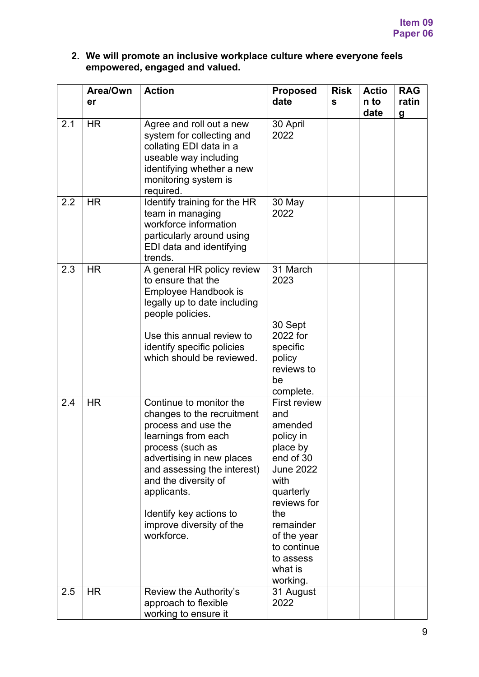### **2. We will promote an inclusive workplace culture where everyone feels empowered, engaged and valued.**

|     | Area/Own<br>er | <b>Action</b>                                                                                                                                                                                                                                                                                   | <b>Proposed</b><br>date                                                                                                                                                                                                   | <b>Risk</b><br>$\mathbf{s}$ | <b>Actio</b><br>n to<br>date | <b>RAG</b><br>ratin<br>$\boldsymbol{g}$ |
|-----|----------------|-------------------------------------------------------------------------------------------------------------------------------------------------------------------------------------------------------------------------------------------------------------------------------------------------|---------------------------------------------------------------------------------------------------------------------------------------------------------------------------------------------------------------------------|-----------------------------|------------------------------|-----------------------------------------|
| 2.1 | <b>HR</b>      | Agree and roll out a new<br>system for collecting and<br>collating EDI data in a<br>useable way including<br>identifying whether a new<br>monitoring system is<br>required.                                                                                                                     | 30 April<br>2022                                                                                                                                                                                                          |                             |                              |                                         |
| 2.2 | <b>HR</b>      | Identify training for the HR<br>team in managing<br>workforce information<br>particularly around using<br>EDI data and identifying<br>trends.                                                                                                                                                   | 30 May<br>2022                                                                                                                                                                                                            |                             |                              |                                         |
| 2.3 | <b>HR</b>      | A general HR policy review<br>to ensure that the<br>Employee Handbook is<br>legally up to date including<br>people policies.<br>Use this annual review to<br>identify specific policies<br>which should be reviewed.                                                                            | 31 March<br>2023<br>30 Sept<br>2022 for<br>specific<br>policy<br>reviews to<br>be<br>complete.                                                                                                                            |                             |                              |                                         |
| 2.4 | <b>HR</b>      | Continue to monitor the<br>changes to the recruitment<br>process and use the<br>learnings from each<br>process (such as<br>advertising in new places<br>and assessing the interest)<br>and the diversity of<br>applicants.<br>Identify key actions to<br>improve diversity of the<br>workforce. | <b>First review</b><br>and<br>amended<br>policy in<br>place by<br>end of 30<br><b>June 2022</b><br>with<br>quarterly<br>reviews for<br>the<br>remainder<br>of the year<br>to continue<br>to assess<br>what is<br>working. |                             |                              |                                         |
| 2.5 | <b>HR</b>      | Review the Authority's<br>approach to flexible<br>working to ensure it                                                                                                                                                                                                                          | 31 August<br>2022                                                                                                                                                                                                         |                             |                              |                                         |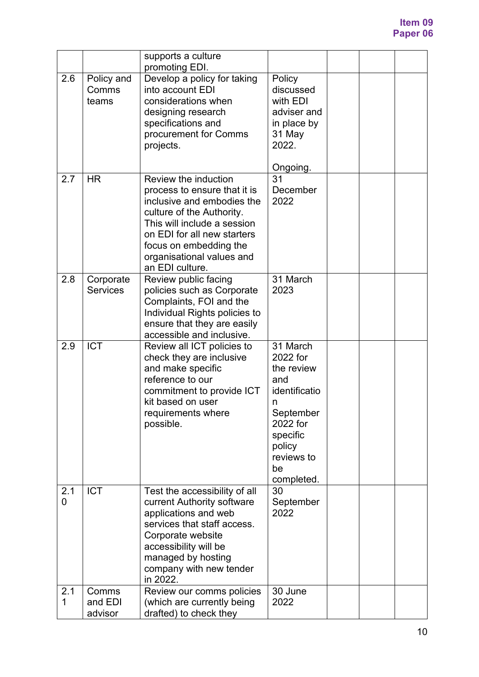|          |                              | supports a culture<br>promoting EDI.                                                                                                                                                                                                                    |                                                                                                                                                  |  |  |
|----------|------------------------------|---------------------------------------------------------------------------------------------------------------------------------------------------------------------------------------------------------------------------------------------------------|--------------------------------------------------------------------------------------------------------------------------------------------------|--|--|
| 2.6      | Policy and<br>Comms<br>teams | Develop a policy for taking<br>into account EDI<br>considerations when<br>designing research<br>specifications and<br>procurement for Comms<br>projects.                                                                                                | Policy<br>discussed<br>with EDI<br>adviser and<br>in place by<br>31 May<br>2022.<br>Ongoing.                                                     |  |  |
| 2.7      | <b>HR</b>                    | Review the induction<br>process to ensure that it is<br>inclusive and embodies the<br>culture of the Authority.<br>This will include a session<br>on EDI for all new starters<br>focus on embedding the<br>organisational values and<br>an EDI culture. | 31<br>December<br>2022                                                                                                                           |  |  |
| 2.8      | Corporate<br><b>Services</b> | Review public facing<br>policies such as Corporate<br>Complaints, FOI and the<br>Individual Rights policies to<br>ensure that they are easily<br>accessible and inclusive.                                                                              | 31 March<br>2023                                                                                                                                 |  |  |
| 2.9      | <b>ICT</b>                   | Review all ICT policies to<br>check they are inclusive<br>and make specific<br>reference to our<br>commitment to provide ICT<br>kit based on user<br>requirements where<br>possible.                                                                    | 31 March<br>2022 for<br>the review<br>and<br>identificatio<br>n<br>September<br>2022 for<br>specific<br>policy<br>reviews to<br>be<br>completed. |  |  |
| 2.1<br>0 | <b>ICT</b>                   | Test the accessibility of all<br>current Authority software<br>applications and web<br>services that staff access.<br>Corporate website<br>accessibility will be<br>managed by hosting<br>company with new tender<br>in 2022.                           | 30<br>September<br>2022                                                                                                                          |  |  |
| 2.1<br>1 | Comms<br>and EDI<br>advisor  | Review our comms policies<br>(which are currently being<br>drafted) to check they                                                                                                                                                                       | 30 June<br>2022                                                                                                                                  |  |  |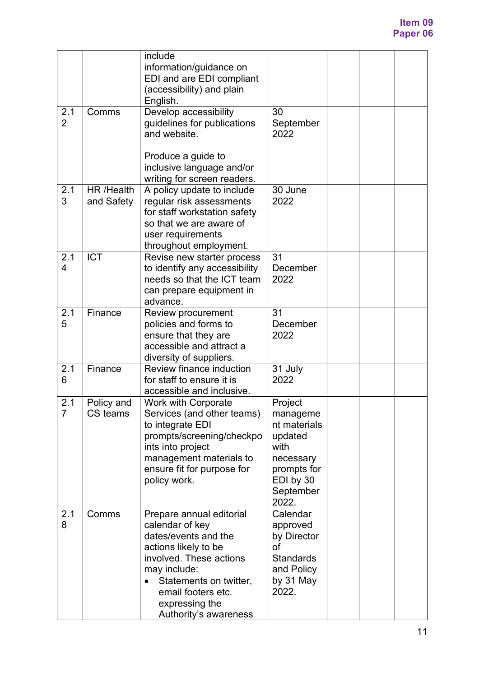|                       |                          | include<br>information/guidance on<br>EDI and are EDI compliant<br>(accessibility) and plain<br>English.                                                                                                                          |                                                                                                                       |  |  |
|-----------------------|--------------------------|-----------------------------------------------------------------------------------------------------------------------------------------------------------------------------------------------------------------------------------|-----------------------------------------------------------------------------------------------------------------------|--|--|
| 2.1<br>$\overline{2}$ | Comms                    | Develop accessibility<br>guidelines for publications<br>and website.<br>Produce a guide to<br>inclusive language and/or                                                                                                           | 30<br>September<br>2022                                                                                               |  |  |
| 2.1<br>3              | HR /Health<br>and Safety | writing for screen readers.<br>A policy update to include<br>regular risk assessments<br>for staff workstation safety<br>so that we are aware of<br>user requirements<br>throughout employment.                                   | 30 June<br>2022                                                                                                       |  |  |
| 2.1<br>4              | <b>ICT</b>               | Revise new starter process<br>to identify any accessibility<br>needs so that the ICT team<br>can prepare equipment in<br>advance.                                                                                                 | 31<br>December<br>2022                                                                                                |  |  |
| 2.1<br>5              | Finance                  | Review procurement<br>policies and forms to<br>ensure that they are<br>accessible and attract a<br>diversity of suppliers.                                                                                                        | 31<br>December<br>2022                                                                                                |  |  |
| 2.1<br>6              | Finance                  | Review finance induction<br>for staff to ensure it is<br>accessible and inclusive.                                                                                                                                                | 31 July<br>2022                                                                                                       |  |  |
| 2.1<br>$\overline{7}$ | Policy and<br>CS teams   | <b>Work with Corporate</b><br>Services (and other teams)<br>to integrate EDI<br>prompts/screening/checkpo<br>ints into project<br>management materials to<br>ensure fit for purpose for<br>policy work.                           | Project<br>manageme<br>nt materials<br>updated<br>with<br>necessary<br>prompts for<br>EDI by 30<br>September<br>2022. |  |  |
| 2.1<br>8              | Comms                    | Prepare annual editorial<br>calendar of key<br>dates/events and the<br>actions likely to be<br>involved. These actions<br>may include:<br>Statements on twitter,<br>email footers etc.<br>expressing the<br>Authority's awareness | Calendar<br>approved<br>by Director<br>of<br><b>Standards</b><br>and Policy<br>by 31 May<br>2022.                     |  |  |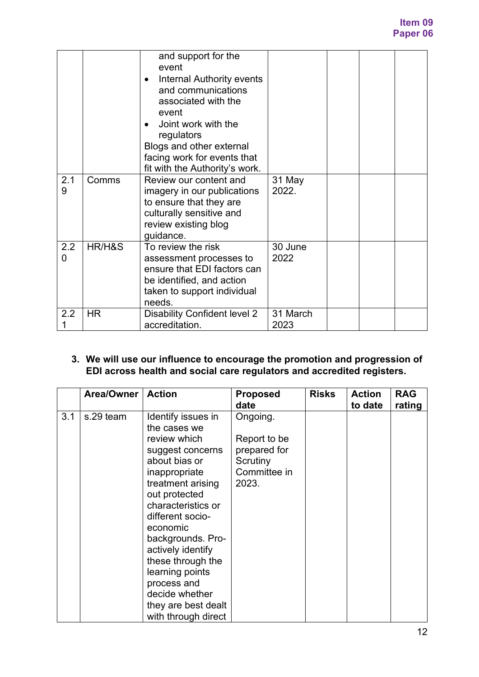|          |           | and support for the<br>event<br><b>Internal Authority events</b><br>and communications<br>associated with the<br>event<br>Joint work with the<br>regulators<br>Blogs and other external<br>facing work for events that<br>fit with the Authority's work. |                  |  |  |
|----------|-----------|----------------------------------------------------------------------------------------------------------------------------------------------------------------------------------------------------------------------------------------------------------|------------------|--|--|
| 2.1<br>9 | Comms     | Review our content and<br>imagery in our publications<br>to ensure that they are<br>culturally sensitive and<br>review existing blog<br>guidance.                                                                                                        | 31 May<br>2022.  |  |  |
| 2.2<br>0 | HR/H&S    | To review the risk<br>assessment processes to<br>ensure that EDI factors can<br>be identified, and action<br>taken to support individual<br>needs.                                                                                                       | 30 June<br>2022  |  |  |
| 2.2      | <b>HR</b> | Disability Confident level 2<br>accreditation.                                                                                                                                                                                                           | 31 March<br>2023 |  |  |

### **3. We will use our influence to encourage the promotion and progression of EDI across health and social care regulators and accredited registers.**

|     | Area/Owner | <b>Action</b>                                                                                                                                                                            | <b>Proposed</b><br>date                                                       | <b>Risks</b> | <b>Action</b><br>to date | <b>RAG</b><br>rating |
|-----|------------|------------------------------------------------------------------------------------------------------------------------------------------------------------------------------------------|-------------------------------------------------------------------------------|--------------|--------------------------|----------------------|
| 3.1 | s.29 team  | Identify issues in<br>the cases we<br>review which<br>suggest concerns<br>about bias or<br>inappropriate<br>treatment arising<br>out protected<br>characteristics or<br>different socio- | Ongoing.<br>Report to be<br>prepared for<br>Scrutiny<br>Committee in<br>2023. |              |                          |                      |
|     |            | economic<br>backgrounds. Pro-<br>actively identify<br>these through the<br>learning points<br>process and<br>decide whether<br>they are best dealt<br>with through direct                |                                                                               |              |                          |                      |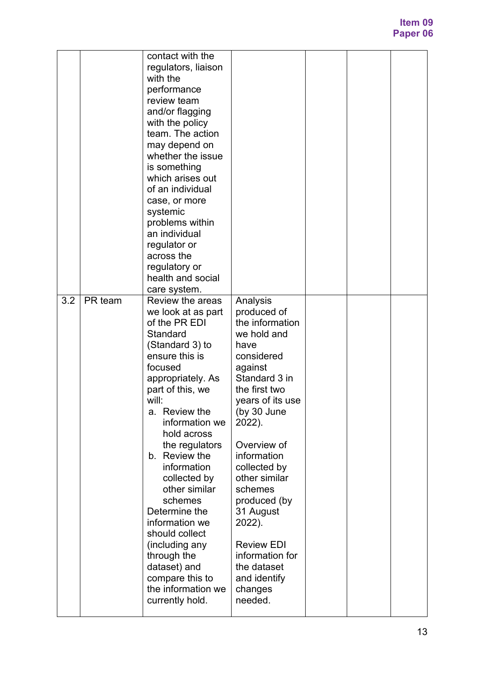|     |         | contact with the<br>regulators, liaison<br>with the<br>performance<br>review team<br>and/or flagging<br>with the policy<br>team. The action<br>may depend on<br>whether the issue<br>is something<br>which arises out<br>of an individual<br>case, or more<br>systemic<br>problems within<br>an individual<br>regulator or<br>across the<br>regulatory or<br>health and social<br>care system.                                                                                          |                                                                                                                                                                                                                                                                                                                                                                                         |  |  |
|-----|---------|-----------------------------------------------------------------------------------------------------------------------------------------------------------------------------------------------------------------------------------------------------------------------------------------------------------------------------------------------------------------------------------------------------------------------------------------------------------------------------------------|-----------------------------------------------------------------------------------------------------------------------------------------------------------------------------------------------------------------------------------------------------------------------------------------------------------------------------------------------------------------------------------------|--|--|
| 3.2 | PR team | Review the areas<br>we look at as part<br>of the PR EDI<br>Standard<br>(Standard 3) to<br>ensure this is<br>focused<br>appropriately. As<br>part of this, we<br>will:<br>a. Review the<br>information we<br>hold across<br>the regulators<br>b. Review the<br>information<br>collected by<br>other similar<br>schemes<br>Determine the<br>information we<br>should collect<br>(including any<br>through the<br>dataset) and<br>compare this to<br>the information we<br>currently hold. | Analysis<br>produced of<br>the information<br>we hold and<br>have<br>considered<br>against<br>Standard 3 in<br>the first two<br>years of its use<br>(by 30 June<br>2022).<br>Overview of<br>information<br>collected by<br>other similar<br>schemes<br>produced (by<br>31 August<br>2022).<br><b>Review EDI</b><br>information for<br>the dataset<br>and identify<br>changes<br>needed. |  |  |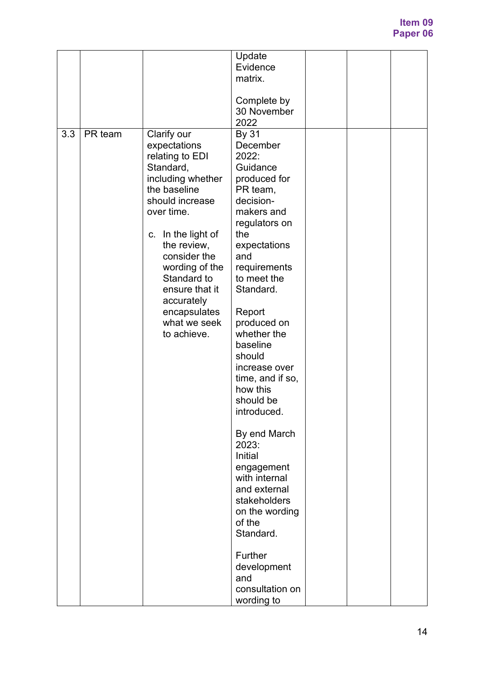|     |         |                                                                                                                                                                                                                                                                                                        | Update<br>Evidence<br>matrix.<br>Complete by<br>30 November<br>2022                                                                                                                                                                                                                                                                                                                                                                                                                                                                               |  |  |
|-----|---------|--------------------------------------------------------------------------------------------------------------------------------------------------------------------------------------------------------------------------------------------------------------------------------------------------------|---------------------------------------------------------------------------------------------------------------------------------------------------------------------------------------------------------------------------------------------------------------------------------------------------------------------------------------------------------------------------------------------------------------------------------------------------------------------------------------------------------------------------------------------------|--|--|
| 3.3 | PR team | Clarify our<br>expectations<br>relating to EDI<br>Standard,<br>including whether<br>the baseline<br>should increase<br>over time.<br>c. In the light of<br>the review,<br>consider the<br>wording of the<br>Standard to<br>ensure that it<br>accurately<br>encapsulates<br>what we seek<br>to achieve. | By 31<br>December<br>2022:<br>Guidance<br>produced for<br>PR team,<br>decision-<br>makers and<br>regulators on<br>the<br>expectations<br>and<br>requirements<br>to meet the<br>Standard.<br>Report<br>produced on<br>whether the<br>baseline<br>should<br>increase over<br>time, and if so,<br>how this<br>should be<br>introduced.<br>By end March<br>2023:<br>Initial<br>engagement<br>with internal<br>and external<br>stakeholders<br>on the wording<br>of the<br>Standard.<br>Further<br>development<br>and<br>consultation on<br>wording to |  |  |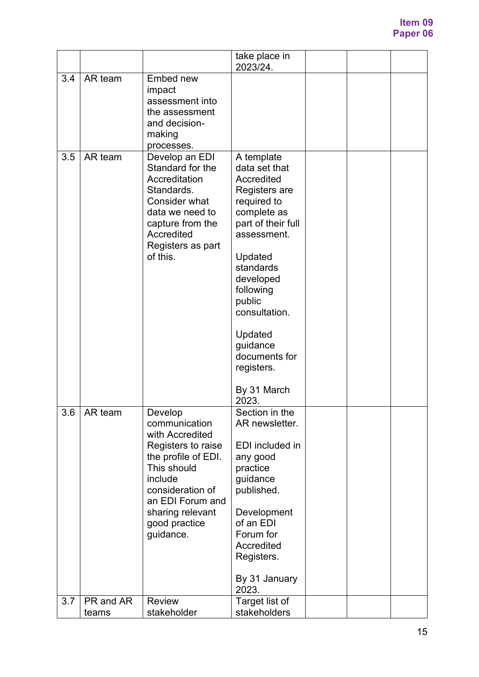|     |                    |                                                                                                                                                                                                              | take place in<br>2023/24.                                                                                                                                                                                                                                                                |  |  |
|-----|--------------------|--------------------------------------------------------------------------------------------------------------------------------------------------------------------------------------------------------------|------------------------------------------------------------------------------------------------------------------------------------------------------------------------------------------------------------------------------------------------------------------------------------------|--|--|
| 3.4 | AR team            | Embed new<br>impact<br>assessment into<br>the assessment<br>and decision-<br>making<br>processes.                                                                                                            |                                                                                                                                                                                                                                                                                          |  |  |
| 3.5 | AR team            | Develop an EDI<br>Standard for the<br>Accreditation<br>Standards.<br>Consider what<br>data we need to<br>capture from the<br>Accredited<br>Registers as part<br>of this.                                     | A template<br>data set that<br>Accredited<br>Registers are<br>required to<br>complete as<br>part of their full<br>assessment.<br>Updated<br>standards<br>developed<br>following<br>public<br>consultation.<br>Updated<br>guidance<br>documents for<br>registers.<br>By 31 March<br>2023. |  |  |
| 3.6 | AR team            | Develop<br>communication<br>with Accredited<br>Registers to raise<br>the profile of EDI.<br>This should<br>include<br>consideration of<br>an EDI Forum and<br>sharing relevant<br>good practice<br>guidance. | Section in the<br>AR newsletter.<br>EDI included in<br>any good<br>practice<br>guidance<br>published.<br>Development<br>of an EDI<br>Forum for<br>Accredited<br>Registers.<br>By 31 January<br>2023.                                                                                     |  |  |
| 3.7 | PR and AR<br>teams | Review<br>stakeholder                                                                                                                                                                                        | Target list of<br>stakeholders                                                                                                                                                                                                                                                           |  |  |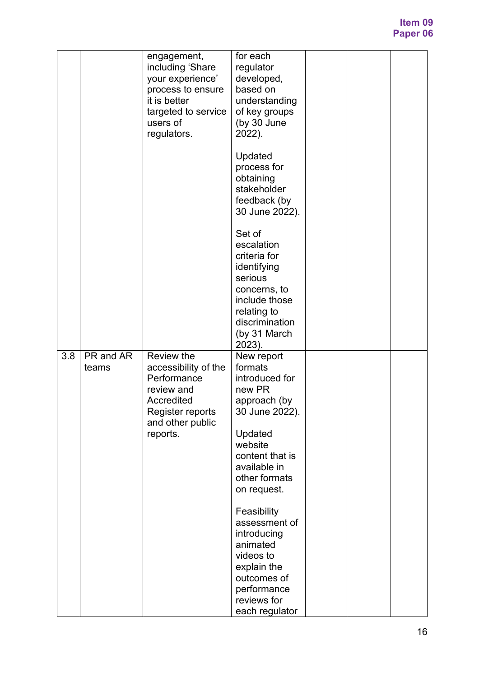|     |                    | engagement,<br>including 'Share<br>your experience'<br>process to ensure<br>it is better<br>targeted to service<br>users of<br>regulators. | for each<br>regulator<br>developed,<br>based on<br>understanding<br>of key groups<br>(by 30 June<br>2022).                                                                   |  |  |
|-----|--------------------|--------------------------------------------------------------------------------------------------------------------------------------------|------------------------------------------------------------------------------------------------------------------------------------------------------------------------------|--|--|
|     |                    |                                                                                                                                            | Updated<br>process for<br>obtaining<br>stakeholder<br>feedback (by<br>30 June 2022).                                                                                         |  |  |
|     |                    |                                                                                                                                            | Set of<br>escalation<br>criteria for<br>identifying<br>serious<br>concerns, to<br>include those<br>relating to<br>discrimination<br>(by 31 March<br>2023).                   |  |  |
| 3.8 | PR and AR<br>teams | Review the<br>accessibility of the<br>Performance<br>review and<br>Accredited<br>Register reports<br>and other public<br>reports.          | New report<br>formats<br>introduced for<br>new PR<br>approach (by<br>30 June 2022).<br>Updated<br>website<br>content that is<br>available in<br>other formats<br>on request. |  |  |
|     |                    |                                                                                                                                            | Feasibility<br>assessment of<br>introducing<br>animated<br>videos to<br>explain the<br>outcomes of<br>performance<br>reviews for<br>each regulator                           |  |  |